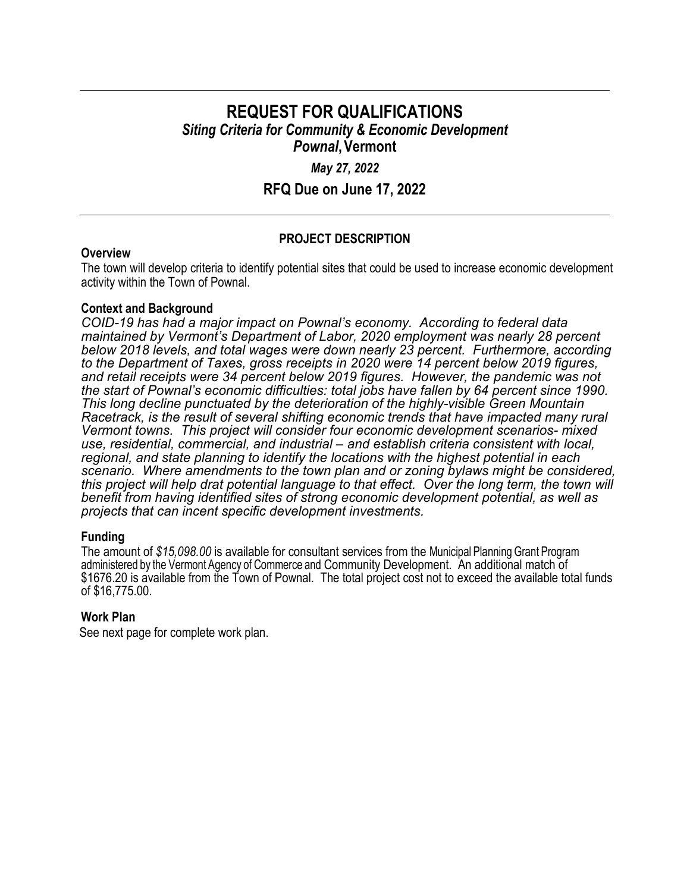# **REQUEST FOR QUALIFICATIONS** *Siting Criteria for Community & Economic Development Pownal***, Vermont**

## *May 27, 2022*

**RFQ Due on June 17, 2022**

## **PROJECT DESCRIPTION**

### **Overview**

The town will develop criteria to identify potential sites that could be used to increase economic development activity within the Town of Pownal.

## **Context and Background**

*COID-19 has had a major impact on Pownal's economy. According to federal data maintained by Vermont's Department of Labor, 2020 employment was nearly 28 percent below 2018 levels, and total wages were down nearly 23 percent. Furthermore, according to the Department of Taxes, gross receipts in 2020 were 14 percent below 2019 figures, and retail receipts were 34 percent below 2019 figures. However, the pandemic was not the start of Pownal's economic difficulties: total jobs have fallen by 64 percent since 1990. This long decline punctuated by the deterioration of the highly-visible Green Mountain Racetrack, is the result of several shifting economic trends that have impacted many rural Vermont towns. This project will consider four economic development scenarios- mixed use, residential, commercial, and industrial – and establish criteria consistent with local, regional, and state planning to identify the locations with the highest potential in each scenario. Where amendments to the town plan and or zoning bylaws might be considered, this project will help drat potential language to that effect. Over the long term, the town will benefit from having identified sites of strong economic development potential, as well as projects that can incent specific development investments.*

### **Funding**

The amount of *\$15,098.00* is available for consultant services from the Municipal Planning Grant Program administered by the Vermont Agency of Commerce and Community Development. An additional match of \$1676.20 is available from the Town of Pownal. The total project cost not to exceed the available total funds of \$16,775.00.

### **Work Plan**

See next page for complete work plan.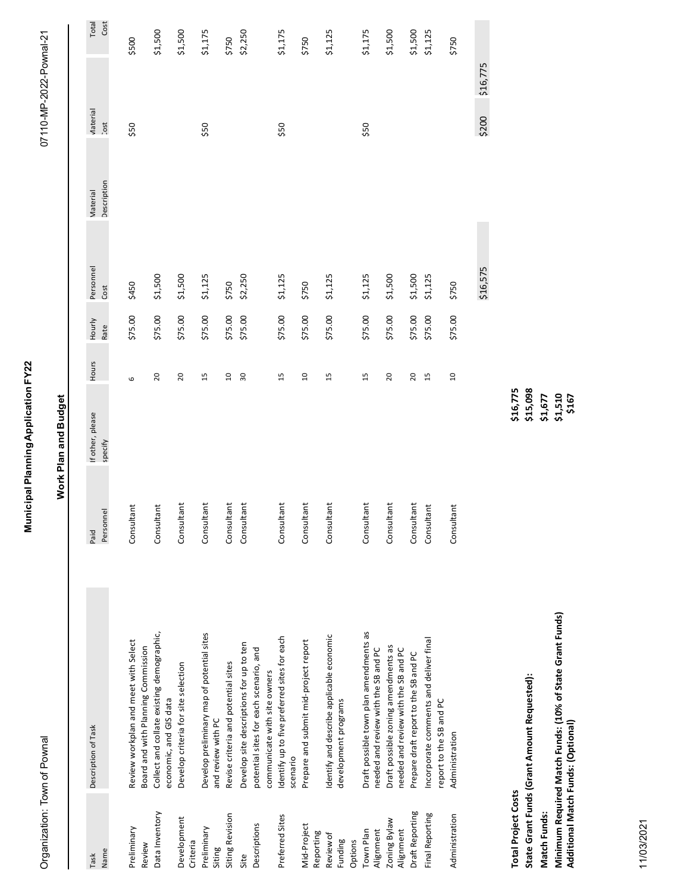| l<br>j<br>j<br>i<br>Si<br>I<br>֡֡֡֡֡֡֡֡<br> <br> <br> <br> <br>$\overline{a}$ |
|-------------------------------------------------------------------------------|
| I<br>$\frac{1}{2}$<br>į<br>j                                                  |
|                                                                               |
|                                                                               |
|                                                                               |
|                                                                               |
|                                                                               |
|                                                                               |
|                                                                               |
| i                                                                             |
| ֚֚֚֬                                                                          |
| ļ<br>י                                                                        |

# **Work Plan and Budget Work Plan and Budget**

| Task                       | Description of Task                                                                            | Paid       | If other, please | Hours          | Hourly  | Personnel | Material    | Vlaterial  |          | Total   |
|----------------------------|------------------------------------------------------------------------------------------------|------------|------------------|----------------|---------|-----------|-------------|------------|----------|---------|
| Name                       |                                                                                                | Personnel  | specify          |                | Rate    | Cost      | Description | <b>JSQ</b> |          | Cost    |
| Preliminary<br>Review      | Review workplan and meet with Select<br>Board and with Planning Commission                     | Consultant |                  | 6              | \$75.00 | \$450     |             | \$50       |          | \$500   |
| Data Inventory             | Collect and collate existing demographic,<br>economic, and GIS data                            | Consultant |                  | 20             | \$75.00 | \$1,500   |             |            |          | \$1,500 |
| Development<br>Criteria    | Develop criteria for site selection                                                            | Consultant |                  | 20             | \$75.00 | \$1,500   |             |            |          | \$1,500 |
| Preliminary<br>Siting      | Develop preliminary map of potential sites<br>and review with PC                               | Consultant |                  | 15             | \$75.00 | \$1,125   |             | \$50       |          | \$1,175 |
| Siting Revision            | Revise criteria and potential sites                                                            | Consultant |                  | $\overline{a}$ | \$75.00 | \$750     |             |            |          | \$750   |
| Site                       | Develop site descriptions for up to ten                                                        | Consultant |                  | 30             | \$75.00 | \$2,250   |             |            |          | \$2,250 |
| Descriptions               | potential sites for each scenario, and                                                         |            |                  |                |         |           |             |            |          |         |
|                            | communicate with site owners                                                                   |            |                  |                |         |           |             |            |          |         |
| Preferred Sites            | Identify up to five preferred sites for each<br>scenario                                       | Consultant |                  | 15             | \$75.00 | \$1,125   |             | \$50       |          | \$1,175 |
| Mid-Project<br>Reporting   | Prepare and submit mid-project report                                                          | Consultant |                  | $\overline{a}$ | \$75.00 | \$750     |             |            |          | \$750   |
| Review of                  | Identify and describe applicable economic                                                      | Consultant |                  | 15             | \$75.00 | \$1,125   |             |            |          | \$1,125 |
| Funding                    | development programs                                                                           |            |                  |                |         |           |             |            |          |         |
| Options                    |                                                                                                |            |                  |                |         |           |             |            |          |         |
| Alignment<br>Town Plan     | Draft possible town plan amendments as<br>needed and review with the SB and PC                 | Consultant |                  | $\overline{1}$ | \$75.00 | \$1,125   |             | \$50       |          | \$1,175 |
| Zoning Bylaw<br>Alignment  | Draft possible zoning amendments as<br>needed and review with the SB and PC                    | Consultant |                  | 20             | \$75.00 | \$1,500   |             |            |          | \$1,500 |
| Draft Reporting            | Prepare draft report to the SB and PC                                                          | Consultant |                  | 20             | \$75.00 | \$1,500   |             |            |          | \$1,500 |
| Final Reporting            | Incorporate comments and deliver final<br>report to the SB and PC                              | Consultant |                  | 15             | \$75.00 | 51,125    |             |            |          | \$1,125 |
| Administration             | Administration                                                                                 | Consultant |                  | $\overline{a}$ | \$75.00 | \$750     |             |            |          | \$750   |
|                            |                                                                                                |            |                  |                |         | \$16,575  |             | \$200      | \$16,775 |         |
| <b>Total Project Costs</b> |                                                                                                |            | \$16,775         |                |         |           |             |            |          |         |
|                            | State Grant Funds (Grant Amount Requested):                                                    |            | \$15,098         |                |         |           |             |            |          |         |
| Match Funds:               |                                                                                                |            | \$1,677          |                |         |           |             |            |          |         |
|                            | Minimum Required Match Funds: (10% of State Grant Funds)<br>Additional Match Funds: (Optional) |            | \$1,510<br>\$167 |                |         |           |             |            |          |         |
|                            |                                                                                                |            |                  |                |         |           |             |            |          |         |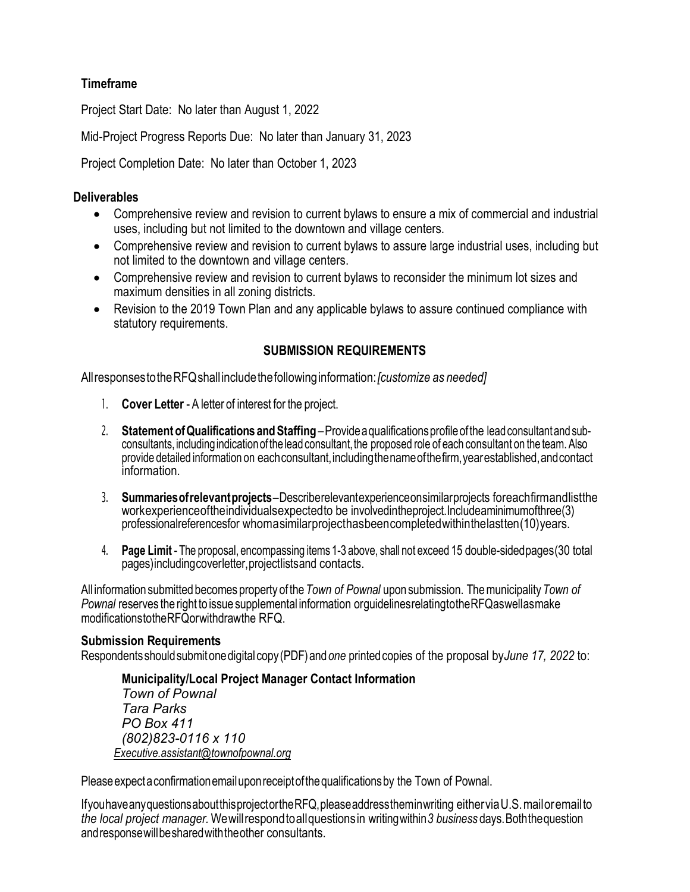# **Timeframe**

Project Start Date: No later than August 1, 2022

Mid-Project Progress Reports Due: No later than January 31, 2023

Project Completion Date: No later than October 1, 2023

# **Deliverables**

- Comprehensive review and revision to current bylaws to ensure a mix of commercial and industrial uses, including but not limited to the downtown and village centers.
- Comprehensive review and revision to current bylaws to assure large industrial uses, including but not limited to the downtown and village centers.
- Comprehensive review and revision to current bylaws to reconsider the minimum lot sizes and maximum densities in all zoning districts.
- Revision to the 2019 Town Plan and any applicable bylaws to assure continued compliance with statutory requirements.

# **SUBMISSION REQUIREMENTS**

AllresponsestotheRFQshallincludethefollowinginformation:*[customize as needed]*

- 1. **Cover Letter** A letter of interest for the project.
- 2. **Statement ofQualifications andStaffing** Providea qualificationsprofileofthe leadconsultantandsubconsultants, including indication of the lead consultant, the proposed role of each consultant on the team. Also provide detailed information on each consultant, including the name of the firm, year established, and contact information.
- 3. **Summariesofrelevantprojects** Describerelevantexperienceonsimilarprojects foreachfirmandlistthe workexperienceoftheindividualsexpectedto be involvedintheproject.Includeaminimumofthree(3) professionalreferencesfor whoma similar project has been completed within the last ten (10) years.
- 4. **Page Limit** The proposal, encompassing items 1-3 above, shall not exceed 15 double-sidedpages(30 total pages)includingcoverletter,projectlistsand contacts.

All information submitted becomes property of the*Town of Pownal* upon submission. Themunicipality*Town of Pownal* reserves the right to issue supplemental information orguidelinesrelatingtotheRFQaswellasmake modificationstotheRFQorwithdrawthe RFQ.

## **Submission Requirements**

Respondentsshouldsubmitonedigitalcopy(PDF)and*one* printedcopies of the proposal by*June 17, 2022* to:

**Municipality/Local Project Manager Contact Information** *Town of Pownal Tara Parks PO Box 411 (802)823-0116 x 110 [Executive.assistant@townofpownal.org](mailto:Executive.assistant@townofpownal.org)*

Please expect a confirmation email upon receipt of the qualifications by the Town of Pownal.

IfyouhaveanyquestionsaboutthisprojectortheRFQ,pleaseaddresstheminwriting eitherviaU.S.mailoremailto *the local project manager.* Wewillrespondtoallquestionsin writingwithin*3 business* days.Boththequestion andresponsewillbesharedwiththeother consultants.